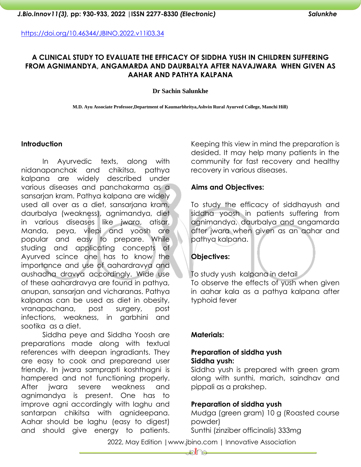# **A CLINICAL STUDY TO EVALUATE THE EFFICACY OF SIDDHA YUSH IN CHILDREN SUFFERING FROM AGNIMANDYA, ANGAMARDA AND DAURBALYA AFTER NAVAJWARA WHEN GIVEN AS AAHAR AND PATHYA KALPANA**

#### **Dr Sachin Salunkhe**

**M.D. Ayu Associate Professor,Department of Kaumarbhritya,Ashvin Rural Ayurved College, Manchi Hill)**

## **Introduction**

In Ayurvedic texts, along with nidanapanchak and chikitsa, pathya kalpana are widely described under various diseases and panchakarma as a sansarjan kram. Pathya kalpana are widely used all over as a diet, sansarjana kram, daurbalya (weakness), agnimandya, diet in various diseases like jwara, atisar. Manda, peya, vilepi and yoosh are popular and easy to prepare. While studing and applicating concepts of Ayurved scince one has to know the importance and use of aahardravya and aushadha dravya accordingly. Wide use of these aahardravya are found in pathya, anupan, sansarjan and vicharanas. Pathya kalpanas can be used as diet in obesity, vranapachana, post surgery, post infections, weakness, in garbhini and sootika as a diet.

Siddha peye and Siddha Yoosh are preparations made along with textual references with deepan ingradiants. They are easy to cook and prepareand user friendly. In jwara samprapti koshthagni is hampered and not functioning properly. After jwara severe weakness and agnimandya is present. One has to improve agni accordingly with laghu and santarpan chikitsa with agnideepana. Aahar should be laghu (easy to digest) and should give energy to patients.

Keeping this view in mind the preparation is desided. It may help many patients in the community for fast recovery and healthy recovery in various diseases.

## **Aims and Objectives:**

To study the efficacy of siddhayush and siddha yoosh in patients suffering from agnimandya, daurbalya and angamarda after jwara when given as an aahar and pathya kalpana.

# **Objectives:**

To study yush kalpana in detail To observe the effects of yush when given in aahar kala as a pathya kalpana after typhoid fever

## **Materials:**

## **Preparation of siddha yush Siddha yush:**

Siddha yush is prepared with green gram along with sunthi, marich, saindhav and pippali as a prakshep.

## **Preparation of siddha yush**

Mudga (green gram) 10 g (Roasted course powder) Sunthi (zinziber officinalis) 333mg

2022, May Edition |www.jbino.com | Innovative Association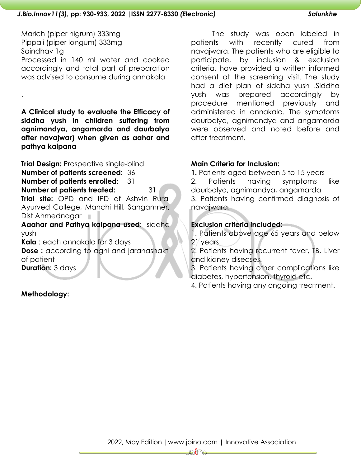# Marich (piper nigrum) 333mg Pippali (piper longum) 333mg Saindhav 1g Processed in 140 ml water and cooked accordingly and total part of preparation was advised to consume during annakala

**A Clinical study to evaluate the Efficacy of siddha yush in children suffering from agnimandya, angamarda and daurbalya after navajwar) when given as aahar and pathya kalpana** 

**Trial Design:** Prospective single-blind **Number of patients screened:** 36 **Number of patients enrolled:** 31 **Number of patients treated:** 31 **Trial site:** OPD and IPD of Ashvin Rural Ayurved College, Manchi Hill, Sangamner, Dist Ahmednagar **Aaahar and Pathya kalpana used**: siddha

yush

**Kala** : each annakala for 3 days

**Dose :** according to agni and jaranashakti of patient **Duration:** 3 days

**Methodology:** 

.

The study was open labeled in patients with recently cured from navajwara. The patients who are eligible to participate, by inclusion & exclusion criteria, have provided a written informed consent at the screening visit. The study had a diet plan of siddha yush .Siddha yush was prepared accordingly by procedure mentioned previously and administered in annakala. The symptoms daurbalya, agnimandya and angamarda were observed and noted before and after treatment.

# **Main Criteria for Inclusion:**

**1.** Patients aged between 5 to 15 years 2. Patients having symptoms like daurbalya, agnimandya, angamarda 3. Patients having confirmed diagnosis of navajwara.

# **Exclusion criteria included:**

1. Patients above age 65 years and below 21 years

2. Patients having recurrent fever, TB, Liver and kidney diseases.

3. Patients having other complications like diabetes, hypertension, thyroid etc.

4. Patients having any ongoing treatment.

ืืื<del>⊥</del>⊳ใี่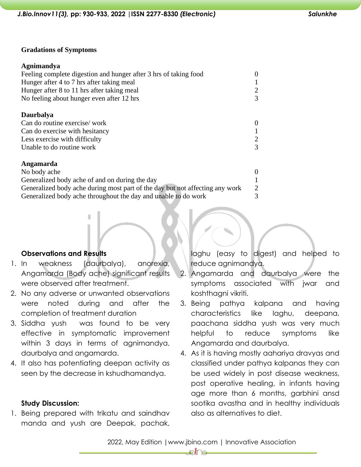#### **Gradations of Symptoms**

| Agnimandya                                                                   |                |
|------------------------------------------------------------------------------|----------------|
| Feeling complete digestion and hunger after 3 hrs of taking food             | $\theta$       |
| Hunger after 4 to 7 hrs after taking meal                                    |                |
| Hunger after 8 to 11 hrs after taking meal                                   | $\overline{2}$ |
| No feeling about hunger even after 12 hrs                                    | 3              |
| <b>Daurbalya</b>                                                             |                |
| Can do routine exercise/work                                                 | $\theta$       |
| Can do exercise with hesitancy                                               |                |
| Less exercise with difficulty                                                | 2              |
| Unable to do routine work                                                    | 3              |
| Angamarda                                                                    |                |
| No body ache                                                                 | $\theta$       |
| Generalized body ache of and on during the day                               |                |
| Generalized body ache during most part of the day but not affecting any work | $\overline{2}$ |
| Generalized body ache throughout the day and unable to do work               | 3              |

# **Observations and Results**

1. In weakness (daurbalya), anorexia, Angamarda (Body ache) significant results were observed after treatment.

п

- 2. No any adverse or unwanted observations were noted during and after the completion of treatment duration
- 3. Siddha yush was found to be very effective in symptomatic improvement within 3 days in terms of agnimandya, daurbalya and angamarda.
- 4. It also has potentiating deepan activity as seen by the decrease in kshudhamandya.

## **Study Discussion:**

1. Being prepared with trikatu and saindhav manda and yush are Deepak, pachak, laghu (easy to digest) and helped to reduce agnimandya.

- 2. Angamarda and daurbalya were the symptoms associated with jwar and koshthagni vikriti.
- 3. Being pathya kalpana and having characteristics like laghu, deepana, paachana siddha yush was very much helpful to reduce symptoms like Angamarda and daurbalya.
- 4. As it is having mostly aahariya dravyas and classified under pathya kalpanas they can be used widely in post disease weakness, post operative healing, in infants having age more than 6 months, garbhini ansd sootika avastha and in healthy individuals also as alternatives to diet.

—ി⊳∦ി⊖